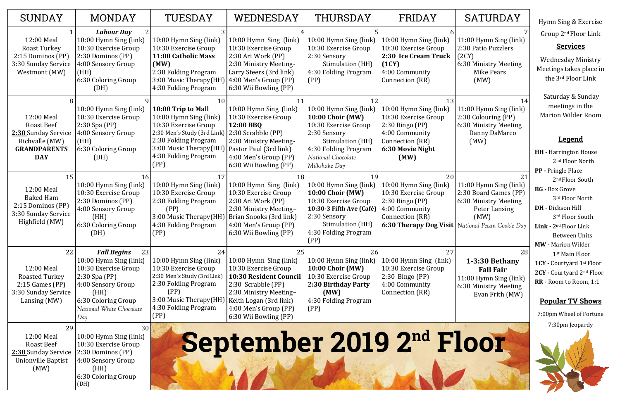| 11:00 Hymn Sing (link) |
|------------------------|
| 2:30 Patio Puzzlers    |
| (2CY)                  |
| 6:30 Ministry Meeting  |
| Mike Pears             |
| (MW)                   |

14

11:00 Hymn Sing (link) 2:30 Colouring (PP) 6:30 Ministry Meeting Danny DaMarco (MW)

| <b>SUNDAY</b>                                                                                                 | MONDAY                                                                                                                                                                                | TUESDAY                                                                                                                                                                                     | WEDNESDAY                                                                                                                                                                                                         | THURSDAY                                                                                                                                                                           | FRIDAY                                                                                                                                          |
|---------------------------------------------------------------------------------------------------------------|---------------------------------------------------------------------------------------------------------------------------------------------------------------------------------------|---------------------------------------------------------------------------------------------------------------------------------------------------------------------------------------------|-------------------------------------------------------------------------------------------------------------------------------------------------------------------------------------------------------------------|------------------------------------------------------------------------------------------------------------------------------------------------------------------------------------|-------------------------------------------------------------------------------------------------------------------------------------------------|
| 12:00 Meal<br><b>Roast Turkey</b><br>2:15 Dominos (PP)<br>3:30 Sunday Service<br>Westmont (MW)                | <b>Labour Day</b><br>10:00 Hymn Sing (link)<br>10:30 Exercise Group<br>2:30 Dominos (PP)<br>4:00 Sensory Group<br>(HH)<br>6:30 Coloring Group<br>(DH)                                 | 10:00 Hymn Sing (link)<br>10:30 Exercise Group<br>11:00 Catholic Mass<br>(MW)<br>2:30 Folding Program<br>3:00 Music Therapy(HH)<br>4:30 Folding Program                                     | 10:00 Hymn Sing (link)<br>10:30 Exercise Group<br>2:30 Art Work (PP)<br>2:30 Ministry Meeting-<br>Larry Steers (3rd link)<br>4:00 Men's Group (PP)<br>6:30 Wii Bowling (PP)                                       | 10:00 Hymn Sing (link)<br>10:30 Exercise Group<br>2:30 Sensory<br>Stimulation (HH)<br>4:30 Folding Program<br>(PP)                                                                 | 10:00 Hymn Sing (link)<br>10:30 Exercise Group<br>2:30 Ice Cream Truck<br>(1CY)<br>4:00 Community<br>Connection (RR)                            |
| 12:00 Meal<br><b>Roast Beef</b><br>2:30 Sunday Service<br>Richvalle (MW)<br><b>GRANDPARENTS</b><br><b>DAY</b> | 10:00 Hymn Sing (link)<br>10:30 Exercise Group<br>$2:30$ Spa (PP)<br>4:00 Sensory Group<br>(HH)<br>6:30 Coloring Group<br>(DH)                                                        | 10<br>10:00 Trip to Mall<br>10:00 Hymn Sing (link)<br>10:30 Exercise Group<br>2:30 Men's Study (3rd Link)<br>2:30 Folding Program<br>3:00 Music Therapy(HH)<br>4:30 Folding Program<br>(PP) | 11<br>10:00 Hymn Sing (link)<br>10:30 Exercise Group<br>12:00 BBQ<br>2:30 Scrabble (PP)<br>2:30 Ministry Meeting-<br>Pastor Paul (3rd link)<br>4:00 Men's Group (PP)<br>6:30 Wii Bowling (PP)                     | 12<br>10:00 Hymn Sing (link)<br><b>10:00 Choir (MW)</b><br>10:30 Exercise Group<br>2:30 Sensory<br>Stimulation (HH)<br>4:30 Folding Program<br>National Chocolate<br>Milkshake Day | 13<br>10:00 Hymn Sing (link)<br>10:30 Exercise Group<br>$2:30$ Bingo (PP)<br>4:00 Community<br>Connection (RR)<br>6:30 Movie Night<br>(MW)      |
| 15<br>12:00 Meal<br><b>Baked Ham</b><br>2:15 Dominos (PP)<br>3:30 Sunday Service<br>Highfield (MW)            | 16<br>10:00 Hymn Sing (link)<br>10:30 Exercise Group<br>2:30 Dominos (PP)<br>4:00 Sensory Group<br>(HH)<br>6:30 Coloring Group<br>(DH)                                                | 17<br>10:00 Hymn Sing (link)<br>10:30 Exercise Group<br>2:30 Folding Program<br>(PP)<br>3:00 Music Therapy (HH)<br>4:30 Folding Program<br>(PP)                                             | 18<br>10:00 Hymn Sing (link)<br>10:30 Exercise Group<br>2:30 Art Work (PP)<br>2:30 Ministry Meeting-<br>Brian Snooks (3rd link)<br>4:00 Men's Group (PP)<br>6:30 Wii Bowling (PP)                                 | 19<br>10:00 Hymn Sing (link)<br><b>10:00 Choir (MW)</b><br>10:30 Exercise Group<br>10:30-3 Fifth Ave (Café)<br>2:30 Sensory<br>Stimulation (HH)<br>4:30 Folding Program<br>(PP)    | 20<br>10:00 Hymn Sing (link)<br>10:30 Exercise Group<br>$2:30$ Bingo (PP)<br>4:00 Community<br>Connection (RR)<br><b>6:30 Therapy Dog Visit</b> |
| 22<br>12:00 Meal<br><b>Roasted Turkey</b><br>$2:15$ Games (PP)<br>3:30 Sunday Service<br>Lansing (MW)         | <b>Fall Begins</b><br>23<br>10:00 Hymn Sing (link)<br>10:30 Exercise Group<br>$2:30$ Spa (PP)<br>4:00 Sensory Group<br>(HH)<br>6:30 Coloring Group<br>National White Chocolate<br>Day | 24<br>10:00 Hymn Sing (link)<br>10:30 Exercise Group<br>2:30 Men's Study (3rd Link)<br>2:30 Folding Program<br>(PP)<br>3:00 Music Therapy(HH)<br>4:30 Folding Program<br>(PP)               | 25<br>10:00 Hymn Sing (link)<br>10:30 Exercise Group<br><b>10:30 Resident Council</b><br>2:30 Scrabble (PP)<br>2:30 Ministry Meeting-<br>Keith Logan (3rd link)<br>4:00 Men's Group (PP)<br>6:30 Wii Bowling (PP) | 26<br>10:00 Hymn Sing (link)<br><b>10:00 Choir (MW)</b><br>10:30 Exercise Group<br>2:30 Birthday Party<br>(MW)<br>4:30 Folding Program<br>(PP)                                     | 27<br>10:00 Hymn Sing (link)<br>10:30 Exercise Group<br>2:30 Bingo (PP)<br>4:00 Community<br>Connection (RR)                                    |
| 29<br>12:00 Meal<br><b>Roast Beef</b><br>2:30 Sunday Service<br>Unionville Baptist<br>(MW)                    | 30<br>10:00 Hymn Sing (link)<br>10:30 Exercise Group<br>2:30 Dominos (PP)<br>4:00 Sensory Group<br>(HH)<br>6:30 Coloring Group<br>(DH)                                                |                                                                                                                                                                                             | September 2019 2nd F                                                                                                                                                                                              |                                                                                                                                                                                    |                                                                                                                                                 |

# SATURDAY

21

11:00 Hymn Sing (link) 2:30 Board Games (PP) 6:30 Ministry Meeting Peter Lansing (MW) *National Pecan Cookie Day*

28

**1-3:30 Bethany Fall Fair** 11:00 Hymn Sing (link) 6:30 Ministry Meeting Evan Frith (MW)

Hymn Sing & Exercise Group 2nd Floor Link

### **Services**

Wednesday Ministry Meetings takes place in the 3rd Floor Link

Saturday & Sunday meetings in the Marion Wilder Room

## **Legend**

- **HH -** Harrington House 2nd Floor North
- **PP -** Pringle Place 2nd Floor South
- **BG -** Box Grove 3rd Floor North
- **DH -** Dickson Hill 3rd Floor South
- **Link -** 2nd Floor Link Between Units
- **MW -** Marion Wilder 1st Main Floor
- **1CY -** Courtyard 1st Floor
- **2CY -** Courtyard 2nd Floor
- **RR -** Room to Room, 1:1

## **Popular TV Shows**

7:00pm Wheel of Fortune

7:30pm Jeopardy